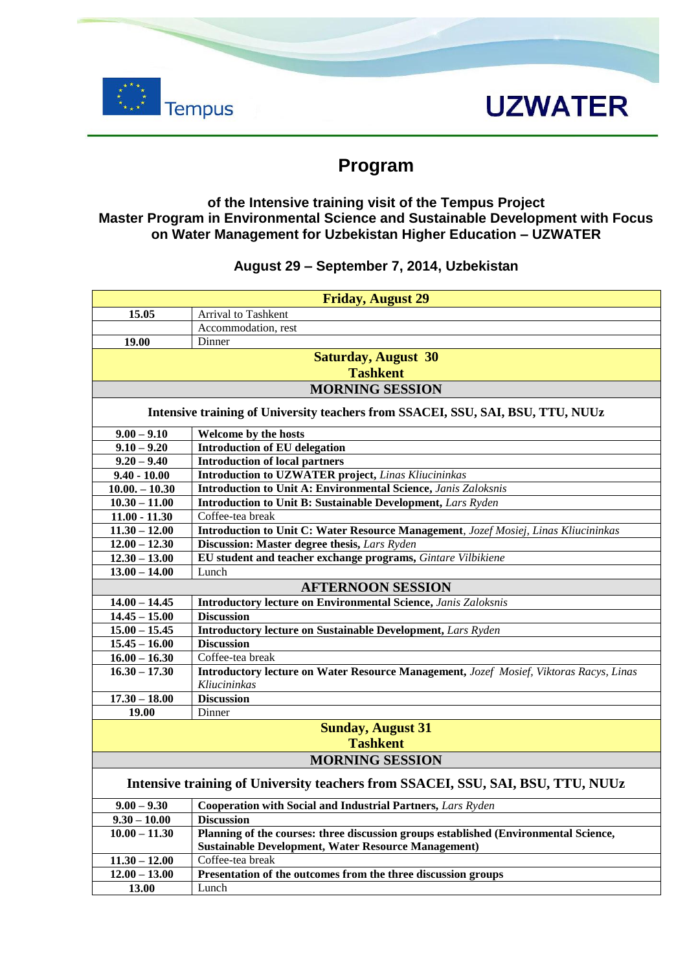

## **UZWATER**

### **Program**

#### **of the Intensive training visit of the Tempus Project Master Program in Environmental Science and Sustainable Development with Focus on Water Management for Uzbekistan Higher Education – UZWATER**

#### **August 29 – September 7, 2014, Uzbekistan**

|                                                                                 | <b>Friday, August 29</b>                                                               |  |
|---------------------------------------------------------------------------------|----------------------------------------------------------------------------------------|--|
| 15.05                                                                           | Arrival to Tashkent                                                                    |  |
|                                                                                 | Accommodation, rest                                                                    |  |
| 19.00                                                                           | Dinner                                                                                 |  |
| <b>Saturday, August 30</b>                                                      |                                                                                        |  |
| <b>Tashkent</b>                                                                 |                                                                                        |  |
| <b>MORNING SESSION</b>                                                          |                                                                                        |  |
| Intensive training of University teachers from SSACEI, SSU, SAI, BSU, TTU, NUUz |                                                                                        |  |
| $9.00 - 9.10$                                                                   | Welcome by the hosts                                                                   |  |
| $9.10 - 9.20$                                                                   | <b>Introduction of EU delegation</b>                                                   |  |
| $9.20 - 9.40$                                                                   | <b>Introduction of local partners</b>                                                  |  |
| $9.40 - 10.00$                                                                  | <b>Introduction to UZWATER project, Linas Kliucininkas</b>                             |  |
| $10.00 - 10.30$                                                                 | Introduction to Unit A: Environmental Science, Janis Zaloksnis                         |  |
| $10.30 - 11.00$                                                                 | Introduction to Unit B: Sustainable Development, Lars Ryden                            |  |
| $11.00 - 11.30$                                                                 | Coffee-tea break                                                                       |  |
| $11.30 - 12.00$                                                                 | Introduction to Unit C: Water Resource Management, Jozef Mosiej, Linas Kliucininkas    |  |
| $12.00 - 12.30$                                                                 | Discussion: Master degree thesis, Lars Ryden                                           |  |
| $12.30 - 13.00$                                                                 | EU student and teacher exchange programs, Gintare Vilbikiene                           |  |
| $13.00 - 14.00$                                                                 | Lunch                                                                                  |  |
| <b>AFTERNOON SESSION</b>                                                        |                                                                                        |  |
| $14.00 - 14.45$                                                                 | <b>Introductory lecture on Environmental Science, Janis Zaloksnis</b>                  |  |
| $14.45 - 15.00$                                                                 | <b>Discussion</b>                                                                      |  |
| $15.00 - 15.45$                                                                 | Introductory lecture on Sustainable Development, Lars Ryden                            |  |
| $15.45 - 16.00$                                                                 | <b>Discussion</b>                                                                      |  |
| $16.00 - 16.30$                                                                 | Coffee-tea break                                                                       |  |
| $16.30 - 17.30$                                                                 | Introductory lecture on Water Resource Management, Jozef Mosief, Viktoras Racys, Linas |  |
|                                                                                 | Kliucininkas                                                                           |  |
| $17.30 - 18.00$                                                                 | <b>Discussion</b>                                                                      |  |
| 19.00                                                                           | Dinner                                                                                 |  |
| <b>Sunday, August 31</b>                                                        |                                                                                        |  |
| <b>Tashkent</b>                                                                 |                                                                                        |  |
| <b>MORNING SESSION</b>                                                          |                                                                                        |  |
| Intensive training of University teachers from SSACEI, SSU, SAI, BSU, TTU, NUUz |                                                                                        |  |
| $9.00 - 9.30$                                                                   | Cooperation with Social and Industrial Partners, Lars Ryden                            |  |
| $9.30 - 10.00$                                                                  | <b>Discussion</b>                                                                      |  |
| $10.00 - 11.30$                                                                 | Planning of the courses: three discussion groups established (Environmental Science,   |  |
|                                                                                 | <b>Sustainable Development, Water Resource Management)</b>                             |  |
| $11.30 - 12.00$                                                                 | Coffee-tea break                                                                       |  |
| $12.00 - 13.00$                                                                 | Presentation of the outcomes from the three discussion groups                          |  |
| 13.00                                                                           | Lunch                                                                                  |  |